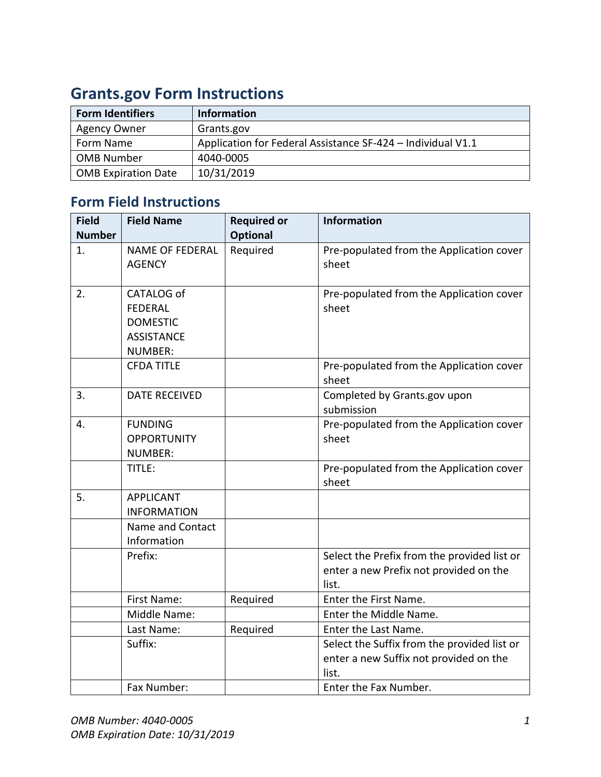| <b>Form Identifiers</b>    | <b>Information</b>                                          |
|----------------------------|-------------------------------------------------------------|
| <b>Agency Owner</b>        | Grants.gov                                                  |
| Form Name                  | Application for Federal Assistance SF-424 - Individual V1.1 |
| <b>OMB Number</b>          | 4040-0005                                                   |
| <b>OMB Expiration Date</b> | 10/31/2019                                                  |

## **Grants.gov Form Instructions**

## **Form Field Instructions**

| <b>Field</b>  | <b>Field Name</b>                                                                      | <b>Required or</b> | <b>Information</b>                                                                             |
|---------------|----------------------------------------------------------------------------------------|--------------------|------------------------------------------------------------------------------------------------|
| <b>Number</b> |                                                                                        | <b>Optional</b>    |                                                                                                |
| 1.            | <b>NAME OF FEDERAL</b><br><b>AGENCY</b>                                                | Required           | Pre-populated from the Application cover<br>sheet                                              |
| 2.            | CATALOG of<br><b>FEDERAL</b><br><b>DOMESTIC</b><br><b>ASSISTANCE</b><br><b>NUMBER:</b> |                    | Pre-populated from the Application cover<br>sheet                                              |
|               | <b>CFDA TITLE</b>                                                                      |                    | Pre-populated from the Application cover<br>sheet                                              |
| 3.            | <b>DATE RECEIVED</b>                                                                   |                    | Completed by Grants.gov upon<br>submission                                                     |
| 4.            | <b>FUNDING</b><br><b>OPPORTUNITY</b><br><b>NUMBER:</b>                                 |                    | Pre-populated from the Application cover<br>sheet                                              |
|               | TITLE:                                                                                 |                    | Pre-populated from the Application cover<br>sheet                                              |
| 5.            | <b>APPLICANT</b><br><b>INFORMATION</b>                                                 |                    |                                                                                                |
|               | Name and Contact<br>Information                                                        |                    |                                                                                                |
|               | Prefix:                                                                                |                    | Select the Prefix from the provided list or<br>enter a new Prefix not provided on the<br>list. |
|               | First Name:                                                                            | Required           | Enter the First Name.                                                                          |
|               | Middle Name:                                                                           |                    | Enter the Middle Name.                                                                         |
|               | Last Name:                                                                             | Required           | Enter the Last Name.                                                                           |
|               | Suffix:                                                                                |                    | Select the Suffix from the provided list or<br>enter a new Suffix not provided on the<br>list. |
|               | Fax Number:                                                                            |                    | Enter the Fax Number.                                                                          |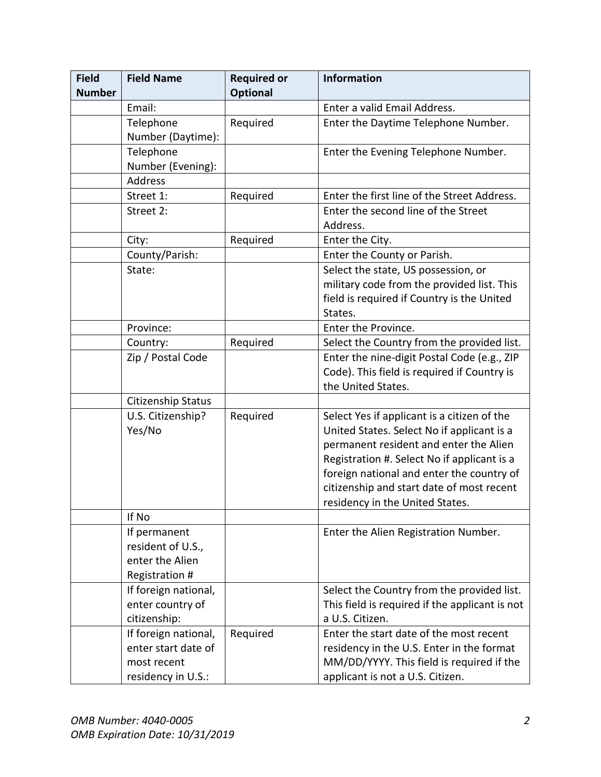| <b>Field</b>  | <b>Field Name</b>                                                                | <b>Required or</b> | <b>Information</b>                                                                                                                                                                                                                                                                                              |
|---------------|----------------------------------------------------------------------------------|--------------------|-----------------------------------------------------------------------------------------------------------------------------------------------------------------------------------------------------------------------------------------------------------------------------------------------------------------|
| <b>Number</b> |                                                                                  | <b>Optional</b>    |                                                                                                                                                                                                                                                                                                                 |
|               | Email:                                                                           |                    | Enter a valid Email Address.                                                                                                                                                                                                                                                                                    |
|               | Telephone                                                                        | Required           | Enter the Daytime Telephone Number.                                                                                                                                                                                                                                                                             |
|               | Number (Daytime):                                                                |                    |                                                                                                                                                                                                                                                                                                                 |
|               | Telephone                                                                        |                    | Enter the Evening Telephone Number.                                                                                                                                                                                                                                                                             |
|               | Number (Evening):                                                                |                    |                                                                                                                                                                                                                                                                                                                 |
|               | <b>Address</b>                                                                   |                    |                                                                                                                                                                                                                                                                                                                 |
|               | Street 1:                                                                        | Required           | Enter the first line of the Street Address.                                                                                                                                                                                                                                                                     |
|               | Street 2:                                                                        |                    | Enter the second line of the Street<br>Address.                                                                                                                                                                                                                                                                 |
|               | City:                                                                            | Required           | Enter the City.                                                                                                                                                                                                                                                                                                 |
|               | County/Parish:                                                                   |                    | Enter the County or Parish.                                                                                                                                                                                                                                                                                     |
|               | State:                                                                           |                    | Select the state, US possession, or                                                                                                                                                                                                                                                                             |
|               |                                                                                  |                    | military code from the provided list. This                                                                                                                                                                                                                                                                      |
|               |                                                                                  |                    | field is required if Country is the United                                                                                                                                                                                                                                                                      |
|               |                                                                                  |                    | States.                                                                                                                                                                                                                                                                                                         |
|               | Province:                                                                        |                    | Enter the Province.                                                                                                                                                                                                                                                                                             |
|               | Country:                                                                         | Required           | Select the Country from the provided list.                                                                                                                                                                                                                                                                      |
|               | Zip / Postal Code                                                                |                    | Enter the nine-digit Postal Code (e.g., ZIP<br>Code). This field is required if Country is<br>the United States.                                                                                                                                                                                                |
|               | Citizenship Status                                                               |                    |                                                                                                                                                                                                                                                                                                                 |
|               | U.S. Citizenship?<br>Yes/No                                                      | Required           | Select Yes if applicant is a citizen of the<br>United States. Select No if applicant is a<br>permanent resident and enter the Alien<br>Registration #. Select No if applicant is a<br>foreign national and enter the country of<br>citizenship and start date of most recent<br>residency in the United States. |
|               | If No                                                                            |                    |                                                                                                                                                                                                                                                                                                                 |
|               | If permanent<br>resident of U.S.,<br>enter the Alien<br>Registration #           |                    | Enter the Alien Registration Number.                                                                                                                                                                                                                                                                            |
|               | If foreign national,<br>enter country of<br>citizenship:                         |                    | Select the Country from the provided list.<br>This field is required if the applicant is not<br>a U.S. Citizen.                                                                                                                                                                                                 |
|               | If foreign national,<br>enter start date of<br>most recent<br>residency in U.S.: | Required           | Enter the start date of the most recent<br>residency in the U.S. Enter in the format<br>MM/DD/YYYY. This field is required if the<br>applicant is not a U.S. Citizen.                                                                                                                                           |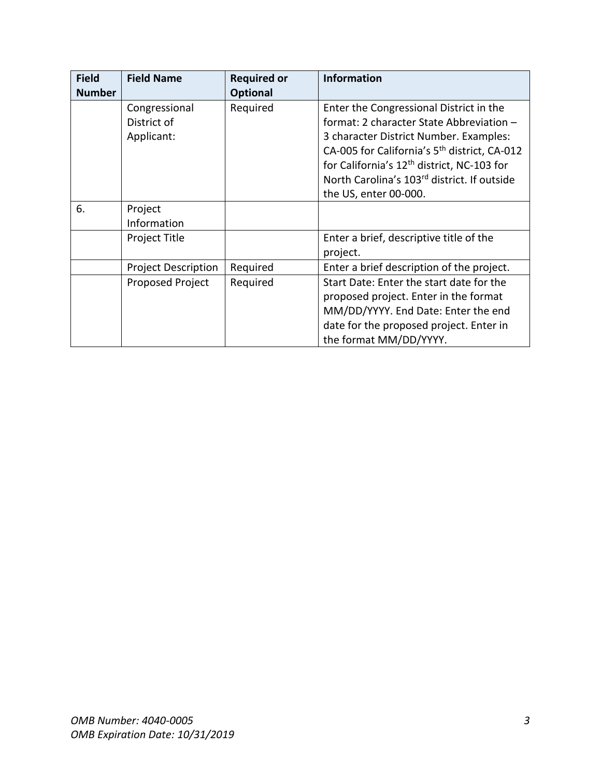| <b>Field</b>  | <b>Field Name</b>          | <b>Required or</b> | <b>Information</b>                                       |
|---------------|----------------------------|--------------------|----------------------------------------------------------|
| <b>Number</b> |                            | <b>Optional</b>    |                                                          |
|               | Congressional              | Required           | Enter the Congressional District in the                  |
|               | District of                |                    | format: 2 character State Abbreviation -                 |
|               | Applicant:                 |                    | 3 character District Number. Examples:                   |
|               |                            |                    | CA-005 for California's 5 <sup>th</sup> district, CA-012 |
|               |                            |                    | for California's 12 <sup>th</sup> district, NC-103 for   |
|               |                            |                    | North Carolina's 103rd district. If outside              |
|               |                            |                    | the US, enter 00-000.                                    |
| 6.            | Project                    |                    |                                                          |
|               | Information                |                    |                                                          |
|               | Project Title              |                    | Enter a brief, descriptive title of the                  |
|               |                            |                    | project.                                                 |
|               | <b>Project Description</b> | Required           | Enter a brief description of the project.                |
|               | Proposed Project           | Required           | Start Date: Enter the start date for the                 |
|               |                            |                    | proposed project. Enter in the format                    |
|               |                            |                    | MM/DD/YYYY. End Date: Enter the end                      |
|               |                            |                    | date for the proposed project. Enter in                  |
|               |                            |                    | the format MM/DD/YYYY.                                   |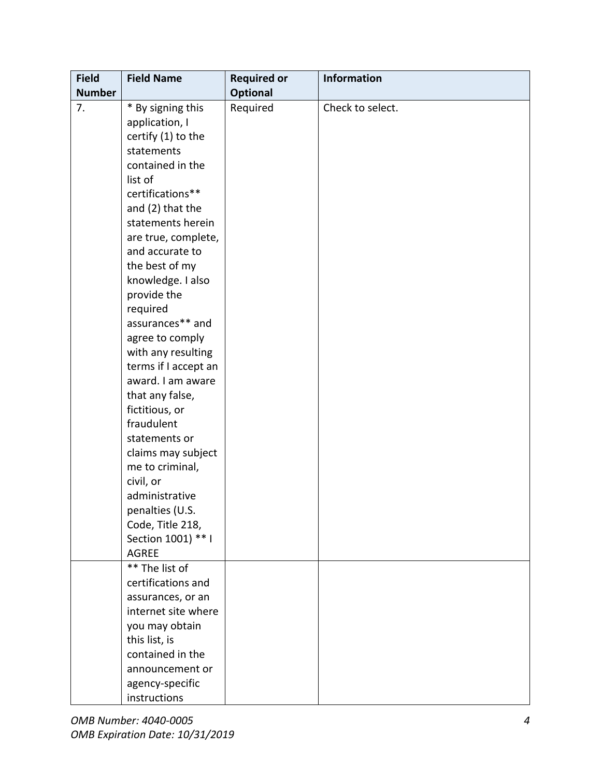| <b>Field</b>  | <b>Field Name</b>                                                                                                                                                                                                                                                                            | <b>Required or</b> | Information      |
|---------------|----------------------------------------------------------------------------------------------------------------------------------------------------------------------------------------------------------------------------------------------------------------------------------------------|--------------------|------------------|
| <b>Number</b> |                                                                                                                                                                                                                                                                                              | <b>Optional</b>    |                  |
| 7.            | * By signing this                                                                                                                                                                                                                                                                            | Required           | Check to select. |
|               | application, I                                                                                                                                                                                                                                                                               |                    |                  |
|               | certify (1) to the                                                                                                                                                                                                                                                                           |                    |                  |
|               | statements                                                                                                                                                                                                                                                                                   |                    |                  |
|               | contained in the                                                                                                                                                                                                                                                                             |                    |                  |
|               | list of                                                                                                                                                                                                                                                                                      |                    |                  |
|               | certifications**                                                                                                                                                                                                                                                                             |                    |                  |
|               | and (2) that the                                                                                                                                                                                                                                                                             |                    |                  |
|               | statements herein                                                                                                                                                                                                                                                                            |                    |                  |
|               | are true, complete,                                                                                                                                                                                                                                                                          |                    |                  |
|               | and accurate to                                                                                                                                                                                                                                                                              |                    |                  |
|               | the best of my                                                                                                                                                                                                                                                                               |                    |                  |
|               | knowledge. I also                                                                                                                                                                                                                                                                            |                    |                  |
|               | provide the                                                                                                                                                                                                                                                                                  |                    |                  |
|               | required                                                                                                                                                                                                                                                                                     |                    |                  |
|               | assurances** and                                                                                                                                                                                                                                                                             |                    |                  |
|               | agree to comply                                                                                                                                                                                                                                                                              |                    |                  |
|               | with any resulting                                                                                                                                                                                                                                                                           |                    |                  |
|               | terms if I accept an                                                                                                                                                                                                                                                                         |                    |                  |
|               | award. I am aware                                                                                                                                                                                                                                                                            |                    |                  |
|               | that any false,                                                                                                                                                                                                                                                                              |                    |                  |
|               | fictitious, or                                                                                                                                                                                                                                                                               |                    |                  |
|               | fraudulent                                                                                                                                                                                                                                                                                   |                    |                  |
|               | statements or                                                                                                                                                                                                                                                                                |                    |                  |
|               | claims may subject                                                                                                                                                                                                                                                                           |                    |                  |
|               | me to criminal,                                                                                                                                                                                                                                                                              |                    |                  |
|               | civil, or                                                                                                                                                                                                                                                                                    |                    |                  |
|               |                                                                                                                                                                                                                                                                                              |                    |                  |
|               |                                                                                                                                                                                                                                                                                              |                    |                  |
|               |                                                                                                                                                                                                                                                                                              |                    |                  |
|               |                                                                                                                                                                                                                                                                                              |                    |                  |
|               |                                                                                                                                                                                                                                                                                              |                    |                  |
|               |                                                                                                                                                                                                                                                                                              |                    |                  |
|               |                                                                                                                                                                                                                                                                                              |                    |                  |
|               |                                                                                                                                                                                                                                                                                              |                    |                  |
|               |                                                                                                                                                                                                                                                                                              |                    |                  |
|               |                                                                                                                                                                                                                                                                                              |                    |                  |
|               |                                                                                                                                                                                                                                                                                              |                    |                  |
|               |                                                                                                                                                                                                                                                                                              |                    |                  |
|               |                                                                                                                                                                                                                                                                                              |                    |                  |
|               |                                                                                                                                                                                                                                                                                              |                    |                  |
|               | administrative<br>penalties (U.S.<br>Code, Title 218,<br>Section 1001) ** I<br><b>AGREE</b><br>** The list of<br>certifications and<br>assurances, or an<br>internet site where<br>you may obtain<br>this list, is<br>contained in the<br>announcement or<br>agency-specific<br>instructions |                    |                  |